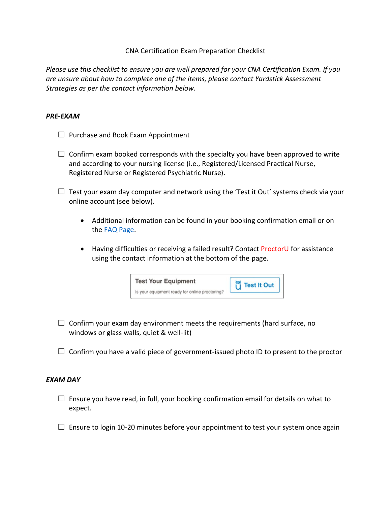## CNA Certification Exam Preparation Checklist

*Please use this checklist to ensure you are well prepared for your CNA Certification Exam. If you are unsure about how to complete one of the items, please contact Yardstick Assessment Strategies as per the contact information below.*

## *PRE-EXAM*

- Purchase and Book Exam Appointment
- Confirm exam booked corresponds with the specialty you have been approved to write and according to your nursing license (i.e., Registered/Licensed Practical Nurse, Registered Nurse or Registered Psychiatric Nurse).
- Test your exam day computer and network using the 'Test it Out' systems check via your online account (see below).
	- Additional information can be found in your booking confirmation email or on the [FAQ Page.](https://cna.ysasecure.com/faq)
	- Having difficulties or receiving a failed result? Contact ProctorU for assistance using the contact information at the bottom of the page.



- Confirm your exam day environment meets the requirements (hard surface, no windows or glass walls, quiet & well-lit)
- Confirm you have a valid piece of government-issued photo ID to present to the proctor

## *EXAM DAY*

- Ensure you have read, in full, your booking confirmation email for details on what to expect.
- Ensure to login 10-20 minutes before your appointment to test your system once again